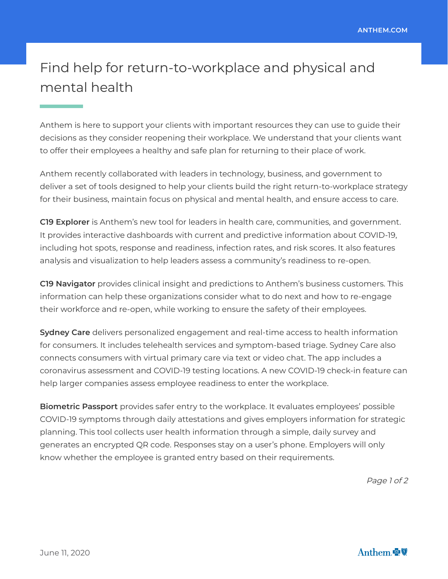## Find help for return-to-workplace and physical and mental health

Anthem is here to support your clients with important resources they can use to guide their decisions as they consider reopening their workplace. We understand that your clients want to offer their employees a healthy and safe plan for returning to their place of work.

Anthem recently collaborated with leaders in technology, business, and government to deliver a set of tools designed to help your clients build the right return-to-workplace strategy for their business, maintain focus on physical and mental health, and ensure access to care.

**C19 Explorer** is Anthem's new tool for leaders in health care, communities, and government. It provides interactive dashboards with current and predictive information about COVID-19, including hot spots, response and readiness, infection rates, and risk scores. It also features analysis and visualization to help leaders assess a community's readiness to re-open.

**C19 Navigator** provides clinical insight and predictions to Anthem's business customers. This information can help these organizations consider what to do next and how to re-engage their workforce and re-open, while working to ensure the safety of their employees.

**Sydney Care** delivers personalized engagement and real-time access to health information for consumers. It includes telehealth services and symptom-based triage. Sydney Care also connects consumers with virtual primary care via text or video chat. The app includes a coronavirus assessment and COVID-19 testing locations. A new COVID-19 check-in feature can help larger companies assess employee readiness to enter the workplace.

**Biometric Passport** provides safer entry to the workplace. It evaluates employees' possible COVID-19 symptoms through daily attestations and gives employers information for strategic planning. This tool collects user health information through a simple, daily survey and generates an encrypted QR code. Responses stay on a user's phone. Employers will only know whether the employee is granted entry based on their requirements.

Page 1 of 2